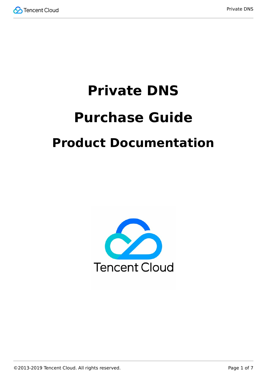

# **Private DNS Purchase Guide Product Documentation**

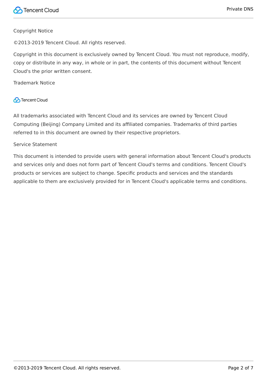#### Copyright Notice

©2013-2019 Tencent Cloud. All rights reserved.

Copyright in this document is exclusively owned by Tencent Cloud. You must not reproduce, modify, copy or distribute in any way, in whole or in part, the contents of this document without Tencent Cloud's the prior written consent.

Trademark Notice

#### **C** Tencent Cloud

All trademarks associated with Tencent Cloud and its services are owned by Tencent Cloud Computing (Beijing) Company Limited and its affiliated companies. Trademarks of third parties referred to in this document are owned by their respective proprietors.

#### Service Statement

This document is intended to provide users with general information about Tencent Cloud's products and services only and does not form part of Tencent Cloud's terms and conditions. Tencent Cloud's products or services are subject to change. Specific products and services and the standards applicable to them are exclusively provided for in Tencent Cloud's applicable terms and conditions.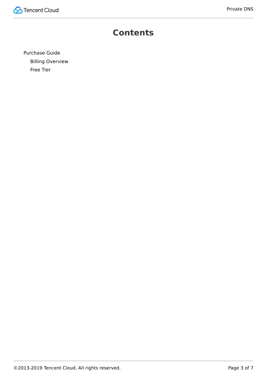

### **Contents**

[Purchase Guide](#page-3-0) [Billing Overview](#page-3-1) [Free Tier](#page-5-0)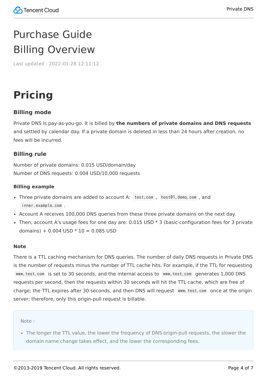# <span id="page-3-1"></span><span id="page-3-0"></span>Purchase Guide Billing Overview

Last updated:2022-01-28 12:11:12

# **Pricing**

#### **Billing mode**

Private DNS is pay-as-you-go. It is billed by **the numbers of private domains and DNS requests** and settled by calendar day. If a private domain is deleted in less than 24 hours after creation, no fees will be incurred.

#### **Billing rule**

Number of private domains: 0.015 USD/domain/day Number of DNS requests: 0.004 USD/10,000 requests

#### **Billing example**

- Three private domains are added to account A: test.com , host01.demo.com , and inner.example.com .
- Account A receives 100,000 DNS queries from these three private domains on the next day.
- Then, account A's usage fees for one day are:  $0.015$  USD  $*$  3 (basic configuration fees for 3 private domains) +  $0.004$  USD  $*$  10 = 0.085 USD

#### **Note**

There is a TTL caching mechanism for DNS queries. The number of daily DNS requests in Private DNS is the number of requests minus the number of TTL cache hits. For example, if the TTL for requesting www.test.com is set to 30 seconds, and the internal access to www.test.com generates 1,000 DNS requests per second, then the requests within 30 seconds will hit the TTL cache, which are free of charge; the TTL expires after 30 seconds, and then DNS will request www.test.com once at the origin server; therefore, only this origin-pull request is billable.

Note:

• The longer the TTL value, the lower the frequency of DNS origin-pull requests, the slower the domain name change takes effect, and the lower the corresponding fees.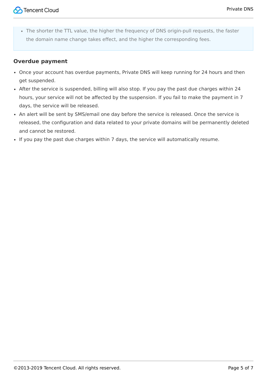The shorter the TTL value, the higher the frequency of DNS origin-pull requests, the faster the domain name change takes effect, and the higher the corresponding fees.

#### **Overdue payment**

- Once your account has overdue payments, Private DNS will keep running for 24 hours and then get suspended.
- After the service is suspended, billing will also stop. If you pay the past due charges within 24 hours, your service will not be affected by the suspension. If you fail to make the payment in 7 days, the service will be released.
- An alert will be sent by SMS/email one day before the service is released. Once the service is released, the configuration and data related to your private domains will be permanently deleted and cannot be restored.
- If you pay the past due charges within 7 days, the service will automatically resume.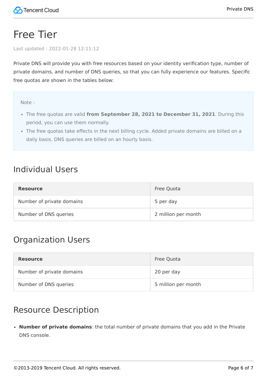# <span id="page-5-0"></span>Free Tier

Last updated:2022-01-28 12:11:12

Private DNS will provide you with free resources based on your identity verification type, number of private domains, and number of DNS queries, so that you can fully experience our features. Specific free quotas are shown in the tables below:

Note:

- The free quotas are valid **from September 28, 2021 to December 31, 2021**. During this period, you can use them normally.
- The free quotas take effects in the next billing cycle. Added private domains are billed on a daily basis. DNS queries are billed on an hourly basis.

### Individual Users

| <b>Resource</b>           | Free Quota          |
|---------------------------|---------------------|
| Number of private domains | 5 per day           |
| Number of DNS queries     | 2 million per month |

## Organization Users

| <b>Resource</b>           | Free Quota          |
|---------------------------|---------------------|
| Number of private domains | 20 per day          |
| Number of DNS queries     | 5 million per month |

### Resource Description

**Number of private domains**: the total number of private domains that you add in the Private DNS console.